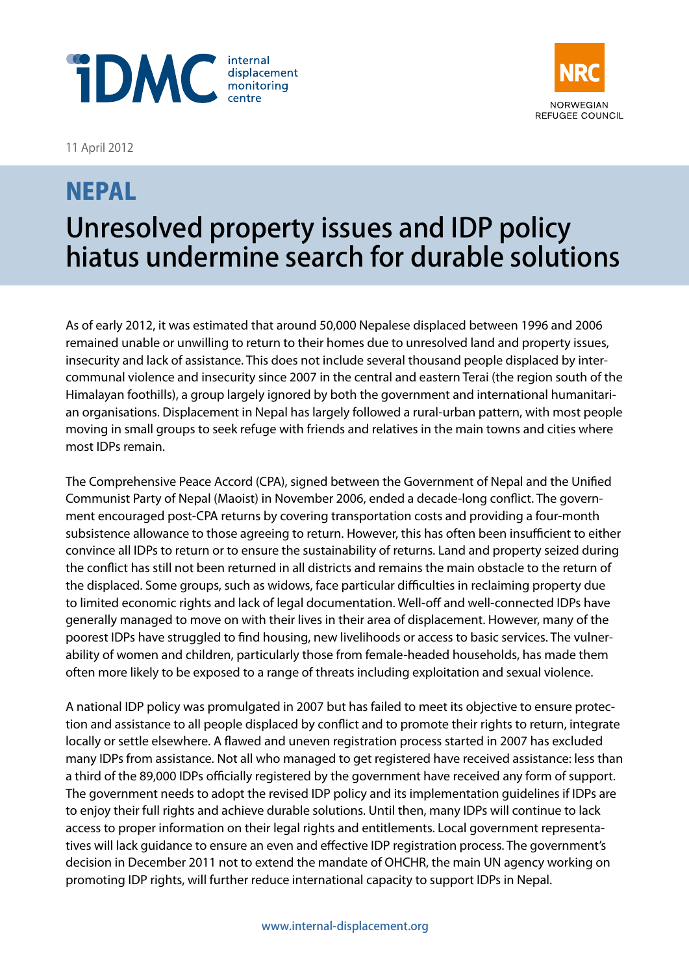



# **NORWEGIAN** REFUGEE COUNCIL

## NEPAL Unresolved property issues and IDP policy hiatus undermine search for durable solutions

As of early 2012, it was estimated that around 50,000 Nepalese displaced between 1996 and 2006 remained unable or unwilling to return to their homes due to unresolved land and property issues, insecurity and lack of assistance. This does not include several thousand people displaced by intercommunal violence and insecurity since 2007 in the central and eastern Terai (the region south of the Himalayan foothills), a group largely ignored by both the government and international humanitarian organisations. Displacement in Nepal has largely followed a rural-urban pattern, with most people moving in small groups to seek refuge with friends and relatives in the main towns and cities where most IDPs remain.

The Comprehensive Peace Accord (CPA), signed between the Government of Nepal and the Unified Communist Party of Nepal (Maoist) in November 2006, ended a decade-long conflict. The government encouraged post-CPA returns by covering transportation costs and providing a four-month subsistence allowance to those agreeing to return. However, this has often been insufficient to either convince all IDPs to return or to ensure the sustainability of returns. Land and property seized during the conflict has still not been returned in all districts and remains the main obstacle to the return of the displaced. Some groups, such as widows, face particular difficulties in reclaiming property due to limited economic rights and lack of legal documentation. Well-off and well-connected IDPs have generally managed to move on with their lives in their area of displacement. However, many of the poorest IDPs have struggled to find housing, new livelihoods or access to basic services. The vulnerability of women and children, particularly those from female-headed households, has made them often more likely to be exposed to a range of threats including exploitation and sexual violence.

A national IDP policy was promulgated in 2007 but has failed to meet its objective to ensure protection and assistance to all people displaced by conflict and to promote their rights to return, integrate locally or settle elsewhere. A flawed and uneven registration process started in 2007 has excluded many IDPs from assistance. Not all who managed to get registered have received assistance: less than a third of the 89,000 IDPs officially registered by the government have received any form of support. The government needs to adopt the revised IDP policy and its implementation guidelines if IDPs are to enjoy their full rights and achieve durable solutions. Until then, many IDPs will continue to lack access to proper information on their legal rights and entitlements. Local government representatives will lack guidance to ensure an even and effective IDP registration process. The government's decision in December 2011 not to extend the mandate of OHCHR, the main UN agency working on promoting IDP rights, will further reduce international capacity to support IDPs in Nepal.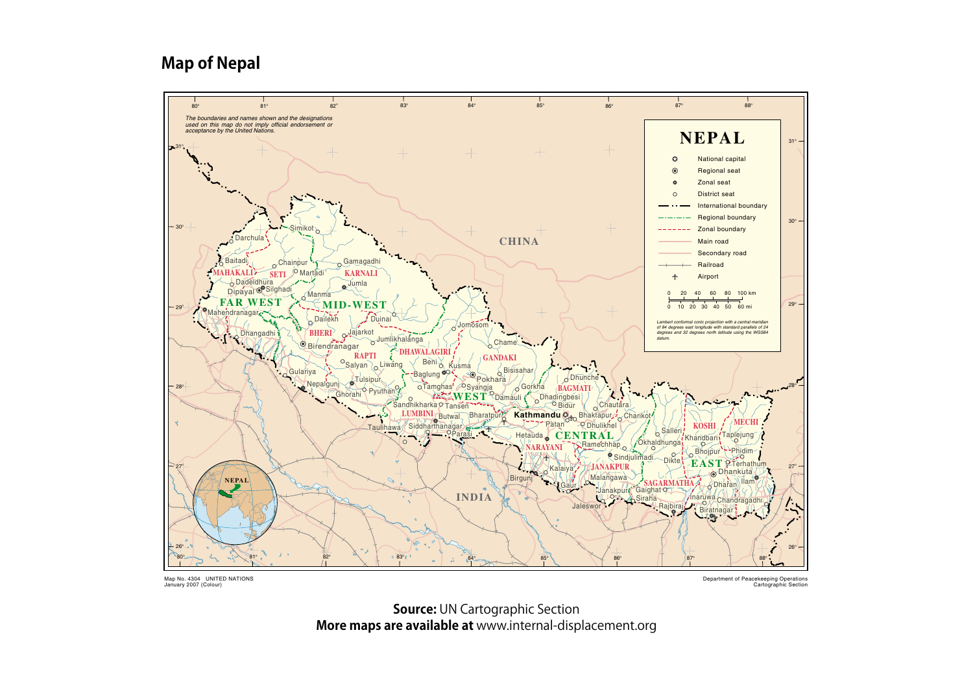#### **Map of Nepal**



Map No. 4304 UNITED NATIONS January 2007 (Colour)

Department of Peacekeeping Operations Cartographic Section

**Source: UN Cartographic Section More maps are available at** www.internal-displacement.org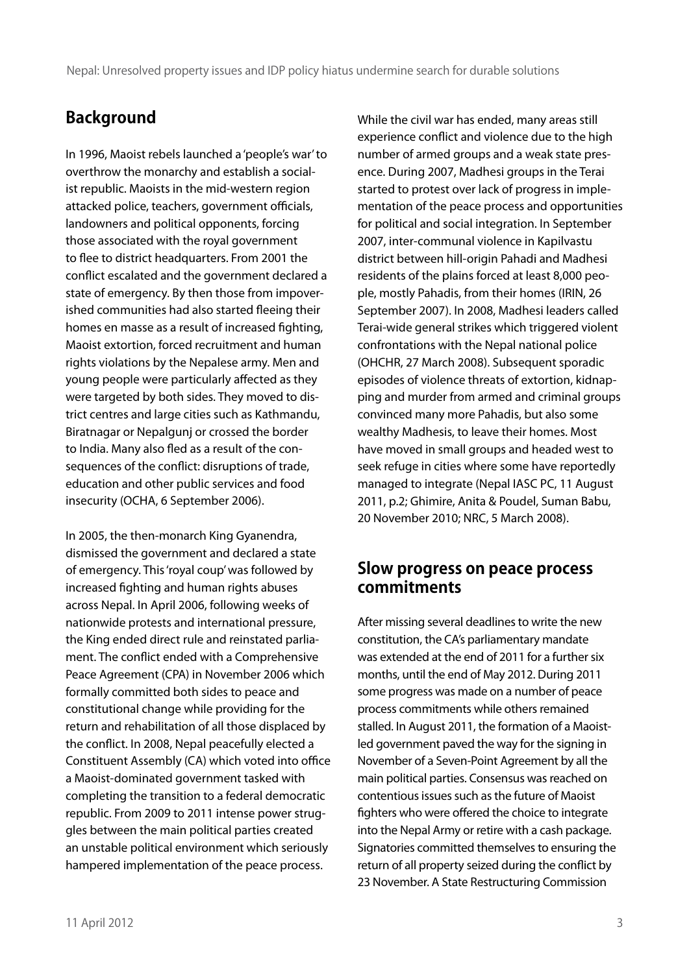## **Background**

In 1996, Maoist rebels launched a 'people's war' to overthrow the monarchy and establish a socialist republic. Maoists in the mid-western region attacked police, teachers, government officials, landowners and political opponents, forcing those associated with the royal government to flee to district headquarters. From 2001 the conflict escalated and the government declared a state of emergency. By then those from impoverished communities had also started fleeing their homes en masse as a result of increased fighting, Maoist extortion, forced recruitment and human rights violations by the Nepalese army. Men and young people were particularly affected as they were targeted by both sides. They moved to district centres and large cities such as Kathmandu, Biratnagar or Nepalgunj or crossed the border to India. Many also fled as a result of the consequences of the conflict: disruptions of trade, education and other public services and food insecurity (OCHA, 6 September 2006).

In 2005, the then-monarch King Gyanendra, dismissed the government and declared a state of emergency. This 'royal coup' was followed by increased fighting and human rights abuses across Nepal. In April 2006, following weeks of nationwide protests and international pressure, the King ended direct rule and reinstated parliament. The conflict ended with a Comprehensive Peace Agreement (CPA) in November 2006 which formally committed both sides to peace and constitutional change while providing for the return and rehabilitation of all those displaced by the conflict. In 2008, Nepal peacefully elected a Constituent Assembly (CA) which voted into office a Maoist-dominated government tasked with completing the transition to a federal democratic republic. From 2009 to 2011 intense power struggles between the main political parties created an unstable political environment which seriously hampered implementation of the peace process.

While the civil war has ended, many areas still experience conflict and violence due to the high number of armed groups and a weak state presence. During 2007, Madhesi groups in the Terai started to protest over lack of progress in implementation of the peace process and opportunities for political and social integration. In September 2007, inter-communal violence in Kapilvastu district between hill-origin Pahadi and Madhesi residents of the plains forced at least 8,000 people, mostly Pahadis, from their homes (IRIN, 26 September 2007). In 2008, Madhesi leaders called Terai-wide general strikes which triggered violent confrontations with the Nepal national police (OHCHR, 27 March 2008). Subsequent sporadic episodes of violence threats of extortion, kidnapping and murder from armed and criminal groups convinced many more Pahadis, but also some wealthy Madhesis, to leave their homes. Most have moved in small groups and headed west to seek refuge in cities where some have reportedly managed to integrate (Nepal IASC PC, 11 August 2011, p.2; Ghimire, Anita & Poudel, Suman Babu, 20 November 2010; NRC, 5 March 2008).

#### **Slow progress on peace process commitments**

After missing several deadlines to write the new constitution, the CA's parliamentary mandate was extended at the end of 2011 for a further six months, until the end of May 2012. During 2011 some progress was made on a number of peace process commitments while others remained stalled. In August 2011, the formation of a Maoistled government paved the way for the signing in November of a Seven-Point Agreement by all the main political parties. Consensus was reached on contentious issues such as the future of Maoist fighters who were offered the choice to integrate into the Nepal Army or retire with a cash package. Signatories committed themselves to ensuring the return of all property seized during the conflict by 23 November. A State Restructuring Commission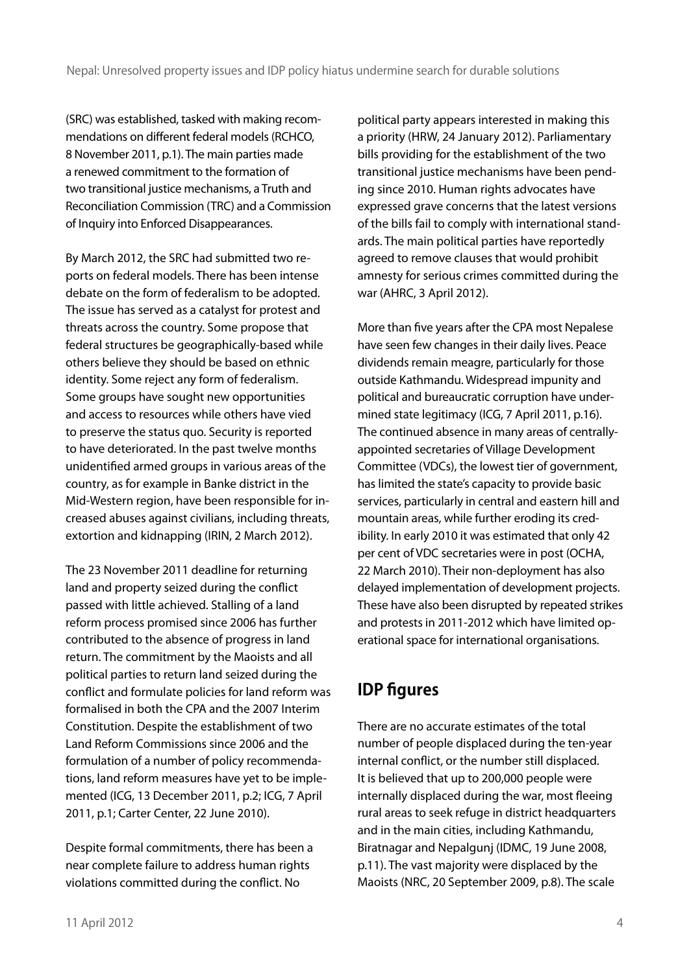(SRC) was established, tasked with making recommendations on different federal models (RCHCO, 8 November 2011, p.1). The main parties made a renewed commitment to the formation of two transitional justice mechanisms, a Truth and Reconciliation Commission (TRC) and a Commission of Inquiry into Enforced Disappearances.

By March 2012, the SRC had submitted two reports on federal models. There has been intense debate on the form of federalism to be adopted. The issue has served as a catalyst for protest and threats across the country. Some propose that federal structures be geographically-based while others believe they should be based on ethnic identity. Some reject any form of federalism. Some groups have sought new opportunities and access to resources while others have vied to preserve the status quo. Security is reported to have deteriorated. In the past twelve months unidentified armed groups in various areas of the country, as for example in Banke district in the Mid-Western region, have been responsible for increased abuses against civilians, including threats, extortion and kidnapping (IRIN, 2 March 2012).

The 23 November 2011 deadline for returning land and property seized during the conflict passed with little achieved. Stalling of a land reform process promised since 2006 has further contributed to the absence of progress in land return. The commitment by the Maoists and all political parties to return land seized during the conflict and formulate policies for land reform was formalised in both the CPA and the 2007 Interim Constitution. Despite the establishment of two Land Reform Commissions since 2006 and the formulation of a number of policy recommendations, land reform measures have yet to be implemented (ICG, 13 December 2011, p.2; ICG, 7 April 2011, p.1; Carter Center, 22 June 2010).

Despite formal commitments, there has been a near complete failure to address human rights violations committed during the conflict. No

political party appears interested in making this a priority (HRW, 24 January 2012). Parliamentary bills providing for the establishment of the two transitional justice mechanisms have been pending since 2010. Human rights advocates have expressed grave concerns that the latest versions of the bills fail to comply with international standards. The main political parties have reportedly agreed to remove clauses that would prohibit amnesty for serious crimes committed during the war (AHRC, 3 April 2012).

More than five years after the CPA most Nepalese have seen few changes in their daily lives. Peace dividends remain meagre, particularly for those outside Kathmandu. Widespread impunity and political and bureaucratic corruption have undermined state legitimacy (ICG, 7 April 2011, p.16). The continued absence in many areas of centrallyappointed secretaries of Village Development Committee (VDCs), the lowest tier of government, has limited the state's capacity to provide basic services, particularly in central and eastern hill and mountain areas, while further eroding its credibility. In early 2010 it was estimated that only 42 per cent of VDC secretaries were in post (OCHA, 22 March 2010). Their non-deployment has also delayed implementation of development projects. These have also been disrupted by repeated strikes and protests in 2011-2012 which have limited operational space for international organisations.

## **IDP figures**

There are no accurate estimates of the total number of people displaced during the ten-year internal conflict, or the number still displaced. It is believed that up to 200,000 people were internally displaced during the war, most fleeing rural areas to seek refuge in district headquarters and in the main cities, including Kathmandu, Biratnagar and Nepalgunj (IDMC, 19 June 2008, p.11). The vast majority were displaced by the Maoists (NRC, 20 September 2009, p.8). The scale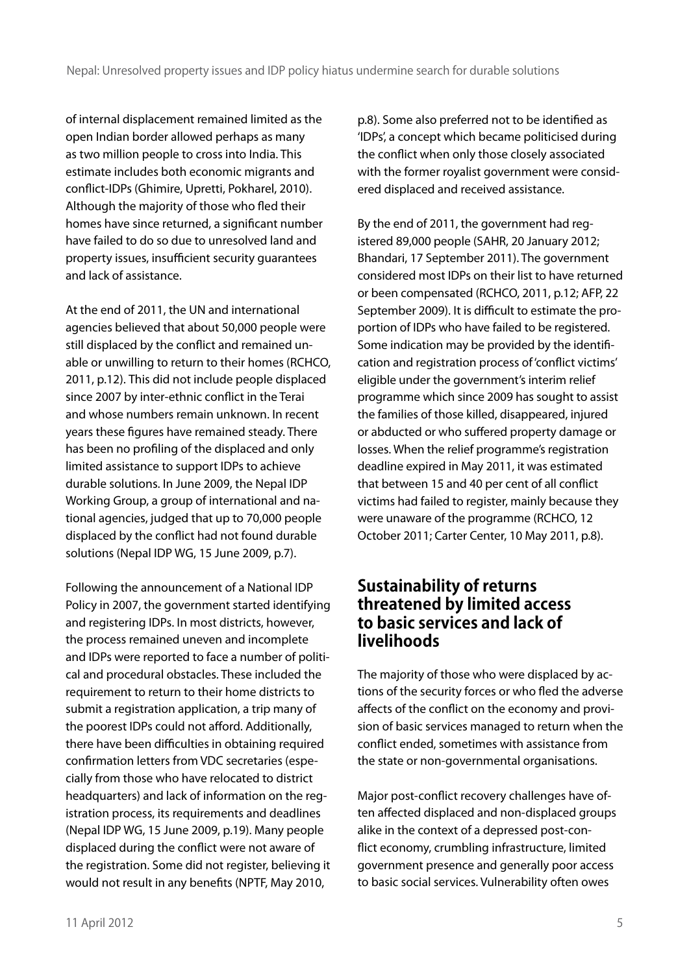of internal displacement remained limited as the open Indian border allowed perhaps as many as two million people to cross into India. This estimate includes both economic migrants and conflict-IDPs (Ghimire, Upretti, Pokharel, 2010). Although the majority of those who fled their homes have since returned, a significant number have failed to do so due to unresolved land and property issues, insufficient security guarantees and lack of assistance.

At the end of 2011, the UN and international agencies believed that about 50,000 people were still displaced by the conflict and remained unable or unwilling to return to their homes (RCHCO, 2011, p.12). This did not include people displaced since 2007 by inter-ethnic conflict in the Terai and whose numbers remain unknown. In recent years these figures have remained steady. There has been no profiling of the displaced and only limited assistance to support IDPs to achieve durable solutions. In June 2009, the Nepal IDP Working Group, a group of international and national agencies, judged that up to 70,000 people displaced by the conflict had not found durable solutions (Nepal IDP WG, 15 June 2009, p.7).

Following the announcement of a National IDP Policy in 2007, the government started identifying and registering IDPs. In most districts, however, the process remained uneven and incomplete and IDPs were reported to face a number of political and procedural obstacles. These included the requirement to return to their home districts to submit a registration application, a trip many of the poorest IDPs could not afford. Additionally, there have been difficulties in obtaining required confirmation letters from VDC secretaries (especially from those who have relocated to district headquarters) and lack of information on the registration process, its requirements and deadlines (Nepal IDP WG, 15 June 2009, p.19). Many people displaced during the conflict were not aware of the registration. Some did not register, believing it would not result in any benefits (NPTF, May 2010,

p.8). Some also preferred not to be identified as 'IDPs', a concept which became politicised during the conflict when only those closely associated with the former royalist government were considered displaced and received assistance.

By the end of 2011, the government had registered 89,000 people (SAHR, 20 January 2012; Bhandari, 17 September 2011). The government considered most IDPs on their list to have returned or been compensated (RCHCO, 2011, p.12; AFP, 22 September 2009). It is difficult to estimate the proportion of IDPs who have failed to be registered. Some indication may be provided by the identification and registration process of 'conflict victims' eligible under the government's interim relief programme which since 2009 has sought to assist the families of those killed, disappeared, injured or abducted or who suffered property damage or losses. When the relief programme's registration deadline expired in May 2011, it was estimated that between 15 and 40 per cent of all conflict victims had failed to register, mainly because they were unaware of the programme (RCHCO, 12 October 2011; Carter Center, 10 May 2011, p.8).

#### **Sustainability of returns threatened by limited access to basic services and lack of livelihoods**

The majority of those who were displaced by actions of the security forces or who fled the adverse affects of the conflict on the economy and provision of basic services managed to return when the conflict ended, sometimes with assistance from the state or non-governmental organisations.

Major post-conflict recovery challenges have often affected displaced and non-displaced groups alike in the context of a depressed post-conflict economy, crumbling infrastructure, limited government presence and generally poor access to basic social services. Vulnerability often owes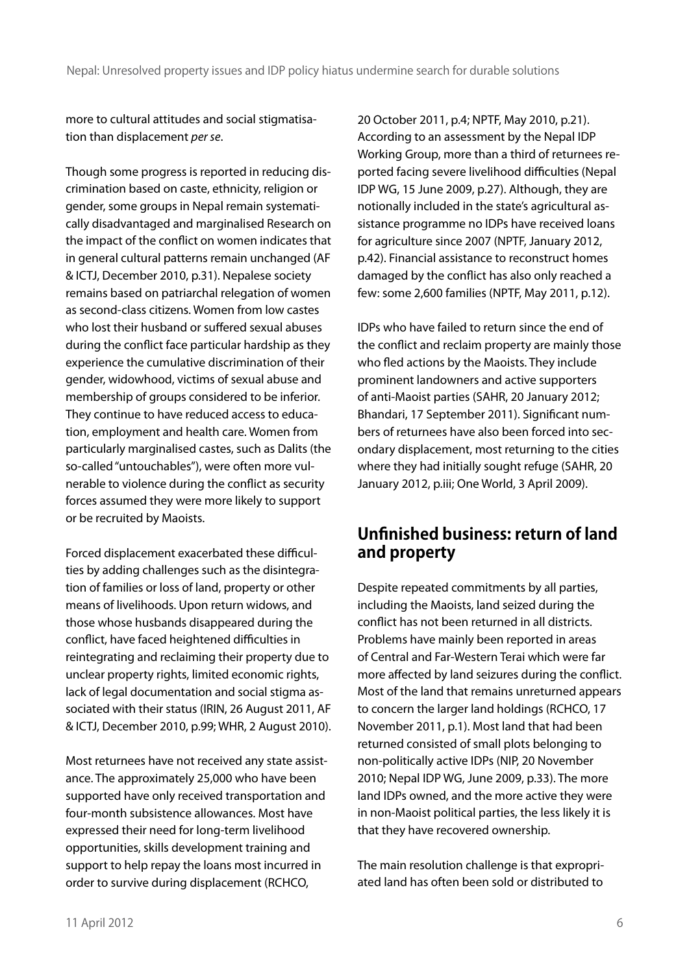more to cultural attitudes and social stigmatisation than displacement *per se*.

Though some progress is reported in reducing discrimination based on caste, ethnicity, religion or gender, some groups in Nepal remain systematically disadvantaged and marginalised Research on the impact of the conflict on women indicates that in general cultural patterns remain unchanged (AF & ICTJ, December 2010, p.31). Nepalese society remains based on patriarchal relegation of women as second-class citizens. Women from low castes who lost their husband or suffered sexual abuses during the conflict face particular hardship as they experience the cumulative discrimination of their gender, widowhood, victims of sexual abuse and membership of groups considered to be inferior. They continue to have reduced access to education, employment and health care. Women from particularly marginalised castes, such as Dalits (the so-called "untouchables"), were often more vulnerable to violence during the conflict as security forces assumed they were more likely to support or be recruited by Maoists.

Forced displacement exacerbated these difficulties by adding challenges such as the disintegration of families or loss of land, property or other means of livelihoods. Upon return widows, and those whose husbands disappeared during the conflict, have faced heightened difficulties in reintegrating and reclaiming their property due to unclear property rights, limited economic rights, lack of legal documentation and social stigma associated with their status (IRIN, 26 August 2011, AF & ICTJ, December 2010, p.99; WHR, 2 August 2010).

Most returnees have not received any state assistance. The approximately 25,000 who have been supported have only received transportation and four-month subsistence allowances. Most have expressed their need for long-term livelihood opportunities, skills development training and support to help repay the loans most incurred in order to survive during displacement (RCHCO,

20 October 2011, p.4; NPTF, May 2010, p.21). According to an assessment by the Nepal IDP Working Group, more than a third of returnees reported facing severe livelihood difficulties (Nepal IDP WG, 15 June 2009, p.27). Although, they are notionally included in the state's agricultural assistance programme no IDPs have received loans for agriculture since 2007 (NPTF, January 2012, p.42). Financial assistance to reconstruct homes damaged by the conflict has also only reached a few: some 2,600 families (NPTF, May 2011, p.12).

IDPs who have failed to return since the end of the conflict and reclaim property are mainly those who fled actions by the Maoists. They include prominent landowners and active supporters of anti-Maoist parties (SAHR, 20 January 2012; Bhandari, 17 September 2011). Significant numbers of returnees have also been forced into secondary displacement, most returning to the cities where they had initially sought refuge (SAHR, 20 January 2012, p.iii; One World, 3 April 2009).

#### **Unfinished business: return of land and property**

Despite repeated commitments by all parties, including the Maoists, land seized during the conflict has not been returned in all districts. Problems have mainly been reported in areas of Central and Far-Western Terai which were far more affected by land seizures during the conflict. Most of the land that remains unreturned appears to concern the larger land holdings (RCHCO, 17 November 2011, p.1). Most land that had been returned consisted of small plots belonging to non-politically active IDPs (NIP, 20 November 2010; Nepal IDP WG, June 2009, p.33). The more land IDPs owned, and the more active they were in non-Maoist political parties, the less likely it is that they have recovered ownership.

The main resolution challenge is that expropriated land has often been sold or distributed to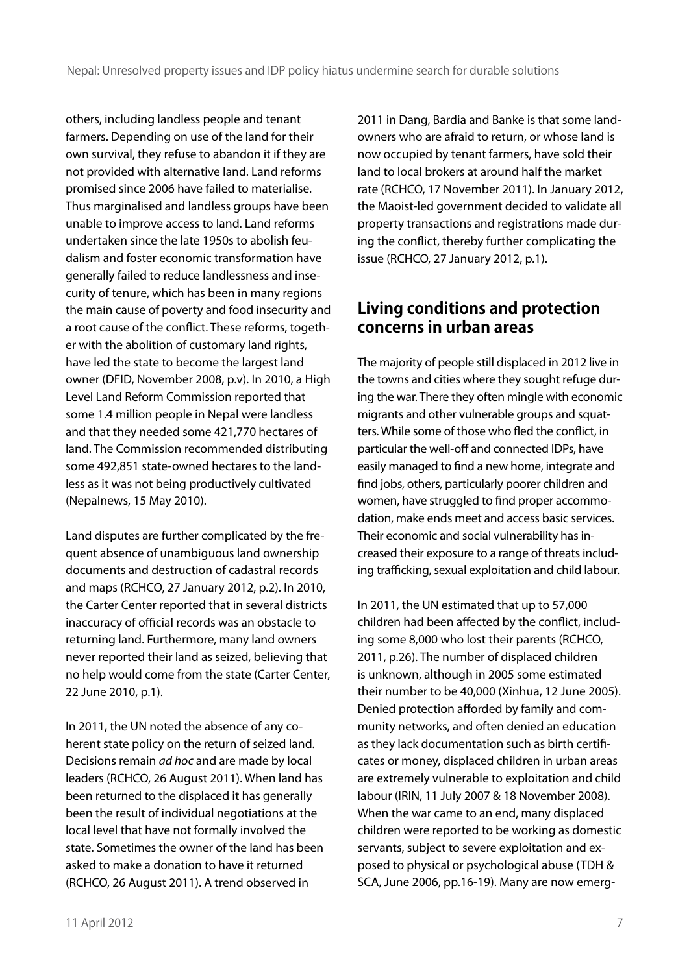others, including landless people and tenant farmers. Depending on use of the land for their own survival, they refuse to abandon it if they are not provided with alternative land. Land reforms promised since 2006 have failed to materialise. Thus marginalised and landless groups have been unable to improve access to land. Land reforms undertaken since the late 1950s to abolish feudalism and foster economic transformation have generally failed to reduce landlessness and insecurity of tenure, which has been in many regions the main cause of poverty and food insecurity and a root cause of the conflict. These reforms, together with the abolition of customary land rights, have led the state to become the largest land owner (DFID, November 2008, p.v). In 2010, a High Level Land Reform Commission reported that some 1.4 million people in Nepal were landless and that they needed some 421,770 hectares of land. The Commission recommended distributing some 492,851 state-owned hectares to the landless as it was not being productively cultivated (Nepalnews, 15 May 2010).

Land disputes are further complicated by the frequent absence of unambiguous land ownership documents and destruction of cadastral records and maps (RCHCO, 27 January 2012, p.2). In 2010, the Carter Center reported that in several districts inaccuracy of official records was an obstacle to returning land. Furthermore, many land owners never reported their land as seized, believing that no help would come from the state (Carter Center, 22 June 2010, p.1).

In 2011, the UN noted the absence of any coherent state policy on the return of seized land. Decisions remain *ad hoc* and are made by local leaders (RCHCO, 26 August 2011). When land has been returned to the displaced it has generally been the result of individual negotiations at the local level that have not formally involved the state. Sometimes the owner of the land has been asked to make a donation to have it returned (RCHCO, 26 August 2011). A trend observed in

2011 in Dang, Bardia and Banke is that some landowners who are afraid to return, or whose land is now occupied by tenant farmers, have sold their land to local brokers at around half the market rate (RCHCO, 17 November 2011). In January 2012, the Maoist-led government decided to validate all property transactions and registrations made during the conflict, thereby further complicating the issue (RCHCO, 27 January 2012, p.1).

#### **Living conditions and protection concerns in urban areas**

The majority of people still displaced in 2012 live in the towns and cities where they sought refuge during the war. There they often mingle with economic migrants and other vulnerable groups and squatters. While some of those who fled the conflict, in particular the well-off and connected IDPs, have easily managed to find a new home, integrate and find jobs, others, particularly poorer children and women, have struggled to find proper accommodation, make ends meet and access basic services. Their economic and social vulnerability has increased their exposure to a range of threats including trafficking, sexual exploitation and child labour.

In 2011, the UN estimated that up to 57,000 children had been affected by the conflict, including some 8,000 who lost their parents (RCHCO, 2011, p.26). The number of displaced children is unknown, although in 2005 some estimated their number to be 40,000 (Xinhua, 12 June 2005). Denied protection afforded by family and community networks, and often denied an education as they lack documentation such as birth certificates or money, displaced children in urban areas are extremely vulnerable to exploitation and child labour (IRIN, 11 July 2007 & 18 November 2008). When the war came to an end, many displaced children were reported to be working as domestic servants, subject to severe exploitation and exposed to physical or psychological abuse (TDH & SCA, June 2006, pp.16-19). Many are now emerg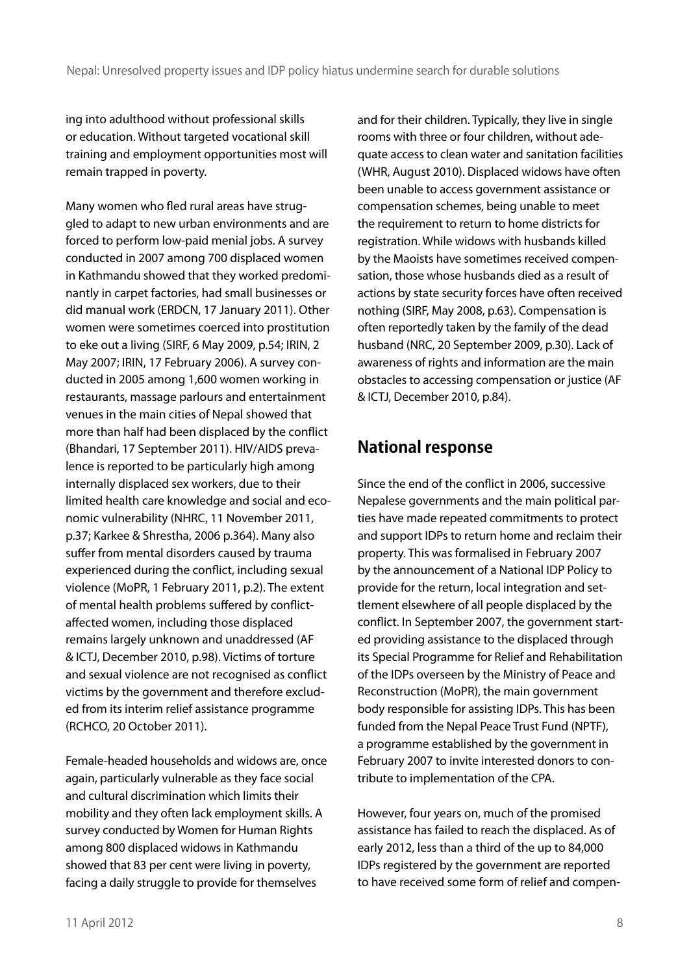ing into adulthood without professional skills or education. Without targeted vocational skill training and employment opportunities most will remain trapped in poverty.

Many women who fled rural areas have struggled to adapt to new urban environments and are forced to perform low-paid menial jobs. A survey conducted in 2007 among 700 displaced women in Kathmandu showed that they worked predominantly in carpet factories, had small businesses or did manual work (ERDCN, 17 January 2011). Other women were sometimes coerced into prostitution to eke out a living (SIRF, 6 May 2009, p.54; IRIN, 2 May 2007; IRIN, 17 February 2006). A survey conducted in 2005 among 1,600 women working in restaurants, massage parlours and entertainment venues in the main cities of Nepal showed that more than half had been displaced by the conflict (Bhandari, 17 September 2011). HIV/AIDS prevalence is reported to be particularly high among internally displaced sex workers, due to their limited health care knowledge and social and economic vulnerability (NHRC, 11 November 2011, p.37; Karkee & Shrestha, 2006 p.364). Many also suffer from mental disorders caused by trauma experienced during the conflict, including sexual violence (MoPR, 1 February 2011, p.2). The extent of mental health problems suffered by conflictaffected women, including those displaced remains largely unknown and unaddressed (AF & ICTJ, December 2010, p.98). Victims of torture and sexual violence are not recognised as conflict victims by the government and therefore excluded from its interim relief assistance programme (RCHCO, 20 October 2011).

Female-headed households and widows are, once again, particularly vulnerable as they face social and cultural discrimination which limits their mobility and they often lack employment skills. A survey conducted by Women for Human Rights among 800 displaced widows in Kathmandu showed that 83 per cent were living in poverty, facing a daily struggle to provide for themselves

and for their children. Typically, they live in single rooms with three or four children, without adequate access to clean water and sanitation facilities (WHR, August 2010). Displaced widows have often been unable to access government assistance or compensation schemes, being unable to meet the requirement to return to home districts for registration. While widows with husbands killed by the Maoists have sometimes received compensation, those whose husbands died as a result of actions by state security forces have often received nothing (SIRF, May 2008, p.63). Compensation is often reportedly taken by the family of the dead husband (NRC, 20 September 2009, p.30). Lack of awareness of rights and information are the main obstacles to accessing compensation or justice (AF & ICTJ, December 2010, p.84).

## **National response**

Since the end of the conflict in 2006, successive Nepalese governments and the main political parties have made repeated commitments to protect and support IDPs to return home and reclaim their property. This was formalised in February 2007 by the announcement of a National IDP Policy to provide for the return, local integration and settlement elsewhere of all people displaced by the conflict. In September 2007, the government started providing assistance to the displaced through its Special Programme for Relief and Rehabilitation of the IDPs overseen by the Ministry of Peace and Reconstruction (MoPR), the main government body responsible for assisting IDPs. This has been funded from the Nepal Peace Trust Fund (NPTF), a programme established by the government in February 2007 to invite interested donors to contribute to implementation of the CPA.

However, four years on, much of the promised assistance has failed to reach the displaced. As of early 2012, less than a third of the up to 84,000 IDPs registered by the government are reported to have received some form of relief and compen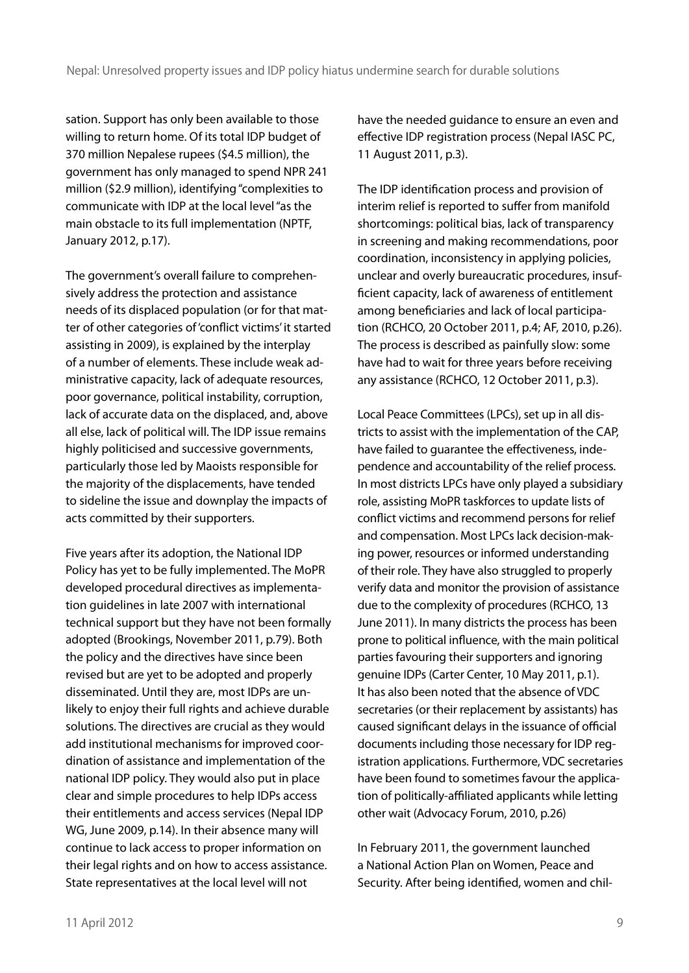sation. Support has only been available to those willing to return home. Of its total IDP budget of 370 million Nepalese rupees (\$4.5 million), the government has only managed to spend NPR 241 million (\$2.9 million), identifying "complexities to communicate with IDP at the local level "as the main obstacle to its full implementation (NPTF, January 2012, p.17).

The government's overall failure to comprehensively address the protection and assistance needs of its displaced population (or for that matter of other categories of 'conflict victims' it started assisting in 2009), is explained by the interplay of a number of elements. These include weak administrative capacity, lack of adequate resources, poor governance, political instability, corruption, lack of accurate data on the displaced, and, above all else, lack of political will. The IDP issue remains highly politicised and successive governments, particularly those led by Maoists responsible for the majority of the displacements, have tended to sideline the issue and downplay the impacts of acts committed by their supporters.

Five years after its adoption, the National IDP Policy has yet to be fully implemented. The MoPR developed procedural directives as implementation guidelines in late 2007 with international technical support but they have not been formally adopted (Brookings, November 2011, p.79). Both the policy and the directives have since been revised but are yet to be adopted and properly disseminated. Until they are, most IDPs are unlikely to enjoy their full rights and achieve durable solutions. The directives are crucial as they would add institutional mechanisms for improved coordination of assistance and implementation of the national IDP policy. They would also put in place clear and simple procedures to help IDPs access their entitlements and access services (Nepal IDP WG, June 2009, p.14). In their absence many will continue to lack access to proper information on their legal rights and on how to access assistance. State representatives at the local level will not

have the needed guidance to ensure an even and effective IDP registration process (Nepal IASC PC, 11 August 2011, p.3).

The IDP identification process and provision of interim relief is reported to suffer from manifold shortcomings: political bias, lack of transparency in screening and making recommendations, poor coordination, inconsistency in applying policies, unclear and overly bureaucratic procedures, insufficient capacity, lack of awareness of entitlement among beneficiaries and lack of local participation (RCHCO, 20 October 2011, p.4; AF, 2010, p.26). The process is described as painfully slow: some have had to wait for three years before receiving any assistance (RCHCO, 12 October 2011, p.3).

Local Peace Committees (LPCs), set up in all districts to assist with the implementation of the CAP, have failed to guarantee the effectiveness, independence and accountability of the relief process. In most districts LPCs have only played a subsidiary role, assisting MoPR taskforces to update lists of conflict victims and recommend persons for relief and compensation. Most LPCs lack decision-making power, resources or informed understanding of their role. They have also struggled to properly verify data and monitor the provision of assistance due to the complexity of procedures (RCHCO, 13 June 2011). In many districts the process has been prone to political influence, with the main political parties favouring their supporters and ignoring genuine IDPs (Carter Center, 10 May 2011, p.1). It has also been noted that the absence of VDC secretaries (or their replacement by assistants) has caused significant delays in the issuance of official documents including those necessary for IDP registration applications. Furthermore, VDC secretaries have been found to sometimes favour the application of politically-affiliated applicants while letting other wait (Advocacy Forum, 2010, p.26)

In February 2011, the government launched a National Action Plan on Women, Peace and Security. After being identified, women and chil-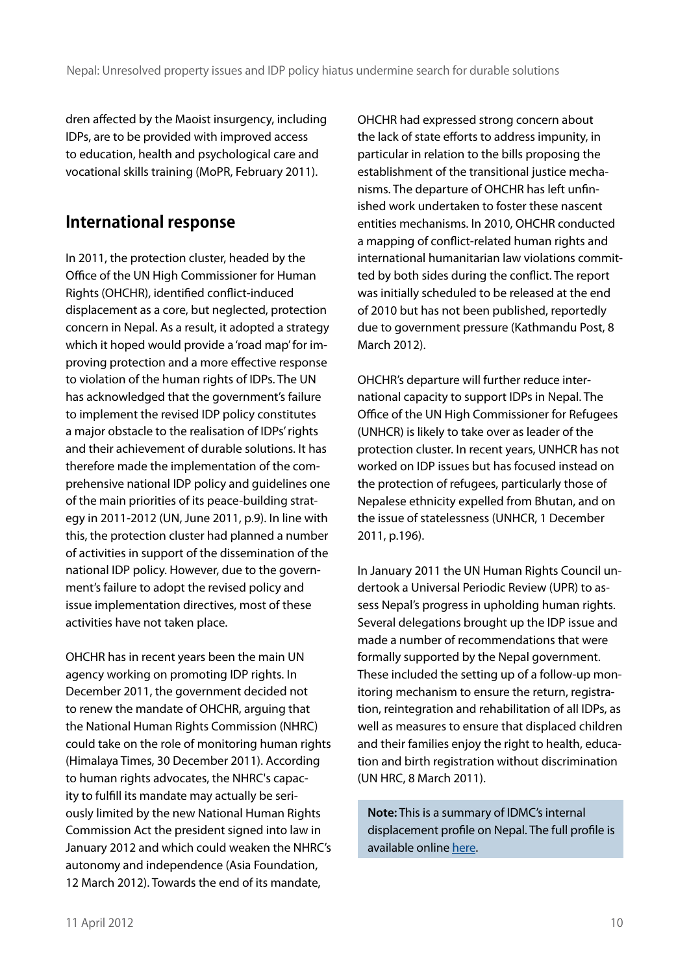dren affected by the Maoist insurgency, including IDPs, are to be provided with improved access to education, health and psychological care and vocational skills training (MoPR, February 2011).

### **International response**

In 2011, the protection cluster, headed by the Office of the UN High Commissioner for Human Rights (OHCHR), identified conflict-induced displacement as a core, but neglected, protection concern in Nepal. As a result, it adopted a strategy which it hoped would provide a 'road map' for improving protection and a more effective response to violation of the human rights of IDPs. The UN has acknowledged that the government's failure to implement the revised IDP policy constitutes a major obstacle to the realisation of IDPs' rights and their achievement of durable solutions. It has therefore made the implementation of the comprehensive national IDP policy and guidelines one of the main priorities of its peace-building strategy in 2011-2012 (UN, June 2011, p.9). In line with this, the protection cluster had planned a number of activities in support of the dissemination of the national IDP policy. However, due to the government's failure to adopt the revised policy and issue implementation directives, most of these activities have not taken place.

OHCHR has in recent years been the main UN agency working on promoting IDP rights. In December 2011, the government decided not to renew the mandate of OHCHR, arguing that the National Human Rights Commission (NHRC) could take on the role of monitoring human rights (Himalaya Times, 30 December 2011). According to human rights advocates, the NHRC's capacity to fulfill its mandate may actually be seriously limited by the new National Human Rights Commission Act the president signed into law in January 2012 and which could weaken the NHRC's autonomy and independence (Asia Foundation, 12 March 2012). Towards the end of its mandate,

OHCHR had expressed strong concern about the lack of state efforts to address impunity, in particular in relation to the bills proposing the establishment of the transitional justice mechanisms. The departure of OHCHR has left unfinished work undertaken to foster these nascent entities mechanisms. In 2010, OHCHR conducted a mapping of conflict-related human rights and international humanitarian law violations committed by both sides during the conflict. The report was initially scheduled to be released at the end of 2010 but has not been published, reportedly due to government pressure (Kathmandu Post, 8 March 2012).

OHCHR's departure will further reduce international capacity to support IDPs in Nepal. The Office of the UN High Commissioner for Refugees (UNHCR) is likely to take over as leader of the protection cluster. In recent years, UNHCR has not worked on IDP issues but has focused instead on the protection of refugees, particularly those of Nepalese ethnicity expelled from Bhutan, and on the issue of statelessness (UNHCR, 1 December 2011, p.196).

In January 2011 the UN Human Rights Council undertook a Universal Periodic Review (UPR) to assess Nepal's progress in upholding human rights. Several delegations brought up the IDP issue and made a number of recommendations that were formally supported by the Nepal government. These included the setting up of a follow-up monitoring mechanism to ensure the return, registration, reintegration and rehabilitation of all IDPs, as well as measures to ensure that displaced children and their families enjoy the right to health, education and birth registration without discrimination (UN HRC, 8 March 2011).

**Note:** This is a summary of IDMC's internal displacement profile on Nepal. The full profile is available online [here.](http://www.internal-displacement.org/countries/nepal)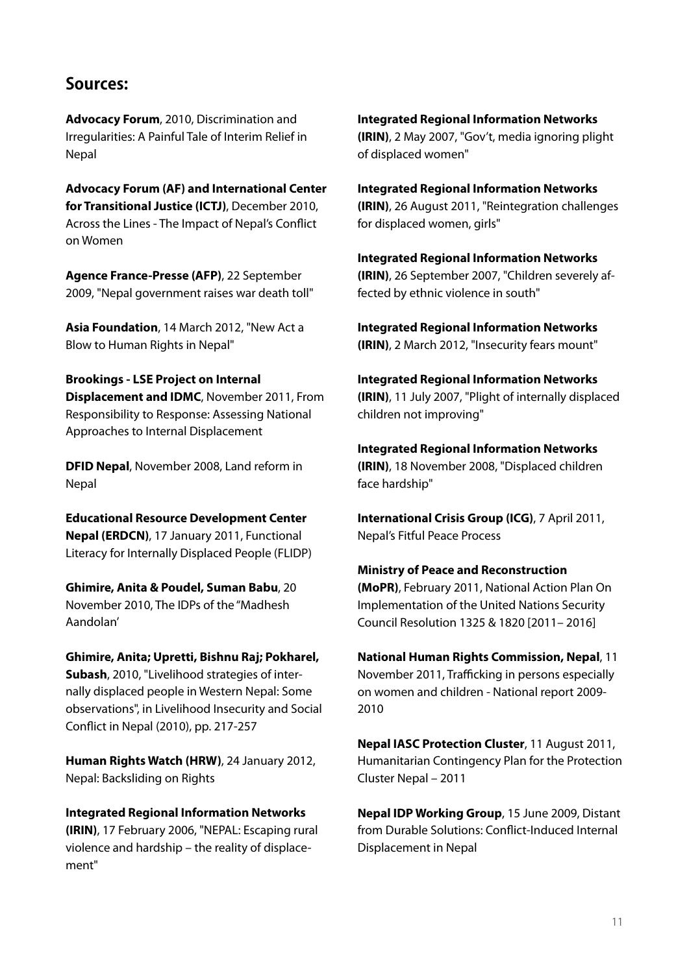#### **Sources:**

**Advocacy Forum**[, 2010, Discrimination and](http://www.internal-displacement.org/8025708F004CE90B/%28httpDocuments%29/3291C05EB8D0D559C1257973004F27A3/$file/Discriminations_and_Irregularities_A_painful_tale_of_Interim_Relief_in_Nepal.pdf)  [Irregularities: A Painful Tale of Interim Relief in](http://www.internal-displacement.org/8025708F004CE90B/%28httpDocuments%29/3291C05EB8D0D559C1257973004F27A3/$file/Discriminations_and_Irregularities_A_painful_tale_of_Interim_Relief_in_Nepal.pdf)  [Nepal](http://www.internal-displacement.org/8025708F004CE90B/%28httpDocuments%29/3291C05EB8D0D559C1257973004F27A3/$file/Discriminations_and_Irregularities_A_painful_tale_of_Interim_Relief_in_Nepal.pdf)

**[Advocacy Forum \(AF\) and International Center](http://www.internal-displacement.org/8025708F004CE90B/%28httpDocuments%29/1D580E168441B143C12579D700519A9E/$file/ICTJ-Nepal-Across-Lines-2010-English.pdf)  [for Transitional Justice \(ICTJ\)](http://www.internal-displacement.org/8025708F004CE90B/%28httpDocuments%29/1D580E168441B143C12579D700519A9E/$file/ICTJ-Nepal-Across-Lines-2010-English.pdf)**, December 2010, [Across the Lines - The Impact of Nepal's Conflict](http://www.internal-displacement.org/8025708F004CE90B/%28httpDocuments%29/1D580E168441B143C12579D700519A9E/$file/ICTJ-Nepal-Across-Lines-2010-English.pdf)  [on Women](http://www.internal-displacement.org/8025708F004CE90B/%28httpDocuments%29/1D580E168441B143C12579D700519A9E/$file/ICTJ-Nepal-Across-Lines-2010-English.pdf)

**[Agence France-Presse \(AFP\)](http://www.reliefweb.int/rw/rwb.nsf/db900SID/SNAA-7W78F7?OpenDocument)**, 22 September [2009, "Nepal government raises war death toll"](http://www.reliefweb.int/rw/rwb.nsf/db900SID/SNAA-7W78F7?OpenDocument)

**Asia Foundation**[, 14 March 2012, "New Act a](http://asiafoundation.org/in-asia/2012/03/14/new-act-a-blow-to-human-rights-in-nepal/)  [Blow to Human Rights in Nepal"](http://asiafoundation.org/in-asia/2012/03/14/new-act-a-blow-to-human-rights-in-nepal/)

#### **[Brookings - LSE Project on Internal](http://www.internal-displacement.org/8025708F004CE90B/%28httpDocuments%29/9CAA54F255EDBFFAC12579D70052D247/$file/From+Responsibility+to+Response+Nov+2011doc.pdf)**

**[Displacement and IDMC](http://www.internal-displacement.org/8025708F004CE90B/%28httpDocuments%29/9CAA54F255EDBFFAC12579D70052D247/$file/From+Responsibility+to+Response+Nov+2011doc.pdf)**, November 2011, From [Responsibility to Response: Assessing National](http://www.internal-displacement.org/8025708F004CE90B/%28httpDocuments%29/9CAA54F255EDBFFAC12579D70052D247/$file/From+Responsibility+to+Response+Nov+2011doc.pdf)  [Approaches to Internal Displacement](http://www.internal-displacement.org/8025708F004CE90B/%28httpDocuments%29/9CAA54F255EDBFFAC12579D70052D247/$file/From+Responsibility+to+Response+Nov+2011doc.pdf)

**DFID Nepal**[, November 2008, Land reform in](http://www.internal-displacement.org/8025708F004CE90B/%28httpDocuments%29/0C44CD7581B41544C1257759004F02C1/$file/2010-01-26-DFID-LandReform-Nepal.pdf)  [Nepal](http://www.internal-displacement.org/8025708F004CE90B/%28httpDocuments%29/0C44CD7581B41544C1257759004F02C1/$file/2010-01-26-DFID-LandReform-Nepal.pdf)

**[Educational Resource Development Center](http://www.drc.org.np/educational-research/functional-literacy-for-internally-displaced-people-flidp.html)  Nepal (ERDCN)**[, 17 January 2011, Functional](http://www.drc.org.np/educational-research/functional-literacy-for-internally-displaced-people-flidp.html)  [Literacy for Internally Displaced People \(FLIDP\)](http://www.drc.org.np/educational-research/functional-literacy-for-internally-displaced-people-flidp.html)

**[Ghimire, Anita & Poudel, Suman Babu](http://refugeewatchonline.blogspot.com/2010/11/idps-of-madhesh-aandolan.html)**, 20 [November 2010, The IDPs of the "Madhesh](http://refugeewatchonline.blogspot.com/2010/11/idps-of-madhesh-aandolan.html)  [Aandolan'](http://refugeewatchonline.blogspot.com/2010/11/idps-of-madhesh-aandolan.html)

#### **[Ghimire, Anita; Upretti, Bishnu Raj; Pokharel,](http://www.internal-displacement.org/8025708F004CE90B/%28httpDocuments%29/8CB5C2F5CB9E578FC1257834005274A1/$file/Upreti_Livelihoods.pdf)**

**Subash**[, 2010, "Livelihood strategies of inter](http://www.internal-displacement.org/8025708F004CE90B/%28httpDocuments%29/8CB5C2F5CB9E578FC1257834005274A1/$file/Upreti_Livelihoods.pdf)[nally displaced people in Western Nepal: Some](http://www.internal-displacement.org/8025708F004CE90B/%28httpDocuments%29/8CB5C2F5CB9E578FC1257834005274A1/$file/Upreti_Livelihoods.pdf)  [observations", in Livelihood Insecurity and Social](http://www.internal-displacement.org/8025708F004CE90B/%28httpDocuments%29/8CB5C2F5CB9E578FC1257834005274A1/$file/Upreti_Livelihoods.pdf)  [Conflict in Nepal \(2010\), pp. 217-257](http://www.internal-displacement.org/8025708F004CE90B/%28httpDocuments%29/8CB5C2F5CB9E578FC1257834005274A1/$file/Upreti_Livelihoods.pdf)

**[Human Rights Watch \(HRW\)](http://www.hrw.org/news/2012/01/23/nepal-backsliding-rights)**, 24 January 2012, [Nepal: Backsliding on Rights](http://www.hrw.org/news/2012/01/23/nepal-backsliding-rights)

**[Integrated Regional Information Networks](http://www.irinnews.org/report.asp?ReportID=50554&SelectRegion=Asia)  (IRIN)**[, 17 February 2006, "NEPAL: Escaping rural](http://www.irinnews.org/report.asp?ReportID=50554&SelectRegion=Asia)  [violence and hardship – the reality of displace](http://www.irinnews.org/report.asp?ReportID=50554&SelectRegion=Asia)[ment"](http://www.irinnews.org/report.asp?ReportID=50554&SelectRegion=Asia)

**[Integrated Regional Information Networks](http://www.irinnews.org/Report.aspx?ReportId=71904)  (IRIN)**[, 2 May 2007, "Gov't, media ignoring plight](http://www.irinnews.org/Report.aspx?ReportId=71904)  [of displaced women"](http://www.irinnews.org/Report.aspx?ReportId=71904)

**[Integrated Regional Information Networks](http://www.irinnews.org/report.aspx?reportID=93584)  (IRIN)**[, 26 August 2011, "Reintegration challenges](http://www.irinnews.org/report.aspx?reportID=93584)  [for displaced women, girls"](http://www.irinnews.org/report.aspx?reportID=93584)

**[Integrated Regional Information Networks](http://www.irinnews.org/Report.aspx?ReportId=74497)  (IRIN)**[, 26 September 2007, "Children severely af](http://www.irinnews.org/Report.aspx?ReportId=74497)[fected by ethnic violence in south"](http://www.irinnews.org/Report.aspx?ReportId=74497)

**[Integrated Regional Information Networks](http://www.irinnews.org/Report/94999/NEPAL-Insecurity-fears-mount)  (IRIN)**[, 2 March 2012, "Insecurity fears mount"](http://www.irinnews.org/Report/94999/NEPAL-Insecurity-fears-mount)

**[Integrated Regional Information Networks](http://www.irinnews.org/Report.aspx?ReportId=73190)  (IRIN)**[, 11 July 2007, "Plight of internally displaced](http://www.irinnews.org/Report.aspx?ReportId=73190)  [children not improving"](http://www.irinnews.org/Report.aspx?ReportId=73190)

**[Integrated Regional Information Networks](http://www.irinnews.org/Report.aspx?ReportId=81514)  (IRIN)**[, 18 November 2008, "Displaced children](http://www.irinnews.org/Report.aspx?ReportId=81514)  [face hardship"](http://www.irinnews.org/Report.aspx?ReportId=81514)

**[International Crisis Group \(ICG\)](http://www.internal-displacement.org/8025708F004CE90B/%28httpDocuments%29/66913A7690FDB676C125786B0054A4E5/$file/Nepal+7+april+2011.pdf)**, 7 April 2011, [Nepal's Fitful Peace Process](http://www.internal-displacement.org/8025708F004CE90B/%28httpDocuments%29/66913A7690FDB676C125786B0054A4E5/$file/Nepal+7+april+2011.pdf)

**[Ministry of Peace and Reconstruction](http://www.internal-displacement.org/8025708F004CE90B/%28httpDocuments%29/14A64218D31040ACC12578FD00544F88/$file/nepal_-_nap.pdf)  (MoPR)**[, February 2011, National Action Plan On](http://www.internal-displacement.org/8025708F004CE90B/%28httpDocuments%29/14A64218D31040ACC12578FD00544F88/$file/nepal_-_nap.pdf)  [Implementation of the United Nations Security](http://www.internal-displacement.org/8025708F004CE90B/%28httpDocuments%29/14A64218D31040ACC12578FD00544F88/$file/nepal_-_nap.pdf)  [Council Resolution 1325 & 1820 \[2011– 2016\]](http://www.internal-displacement.org/8025708F004CE90B/%28httpDocuments%29/14A64218D31040ACC12578FD00544F88/$file/nepal_-_nap.pdf)

**[National Human Rights Commission, Nepal](http://www.internal-displacement.org/8025708F004CE90B/%28httpDocuments%29/B0E3D300AF1EF81DC125798F004DA211/$file/NHRC_TraffickinginPersonsEspeciallyonWomenandChildreninNepal.pdf)**, 11 [November 2011, Trafficking in persons especially](http://www.internal-displacement.org/8025708F004CE90B/%28httpDocuments%29/B0E3D300AF1EF81DC125798F004DA211/$file/NHRC_TraffickinginPersonsEspeciallyonWomenandChildreninNepal.pdf)  [on women and children - National report 2009-](http://www.internal-displacement.org/8025708F004CE90B/%28httpDocuments%29/B0E3D300AF1EF81DC125798F004DA211/$file/NHRC_TraffickinginPersonsEspeciallyonWomenandChildreninNepal.pdf) [2010](http://www.internal-displacement.org/8025708F004CE90B/%28httpDocuments%29/B0E3D300AF1EF81DC125798F004DA211/$file/NHRC_TraffickinginPersonsEspeciallyonWomenandChildreninNepal.pdf)

**[Nepal IASC Protection Cluster](http://www.internal-displacement.org/8025708F004CE90B/%28httpDocuments%29/23363CD75ABCB398C1257950004DBBA3/$file/2011-08-11-Protection-Cluster-Contingency-Plan-2011_0.pdf)**, 11 August 2011, [Humanitarian Contingency Plan for the Protection](http://www.internal-displacement.org/8025708F004CE90B/%28httpDocuments%29/23363CD75ABCB398C1257950004DBBA3/$file/2011-08-11-Protection-Cluster-Contingency-Plan-2011_0.pdf)  [Cluster Nepal – 2011](http://www.internal-displacement.org/8025708F004CE90B/%28httpDocuments%29/23363CD75ABCB398C1257950004DBBA3/$file/2011-08-11-Protection-Cluster-Contingency-Plan-2011_0.pdf)

**[Nepal IDP Working Group](http://www.internal-displacement.org/8025708F004CE90B/%28httpDocuments%29/666B48300E469C68C12575E600347853/$file/distant+from+durable+solutions+June+2009.pdf)**, 15 June 2009, Distant [from Durable Solutions: Conflict-Induced Internal](http://www.internal-displacement.org/8025708F004CE90B/%28httpDocuments%29/666B48300E469C68C12575E600347853/$file/distant+from+durable+solutions+June+2009.pdf)  [Displacement in Nepal](http://www.internal-displacement.org/8025708F004CE90B/%28httpDocuments%29/666B48300E469C68C12575E600347853/$file/distant+from+durable+solutions+June+2009.pdf)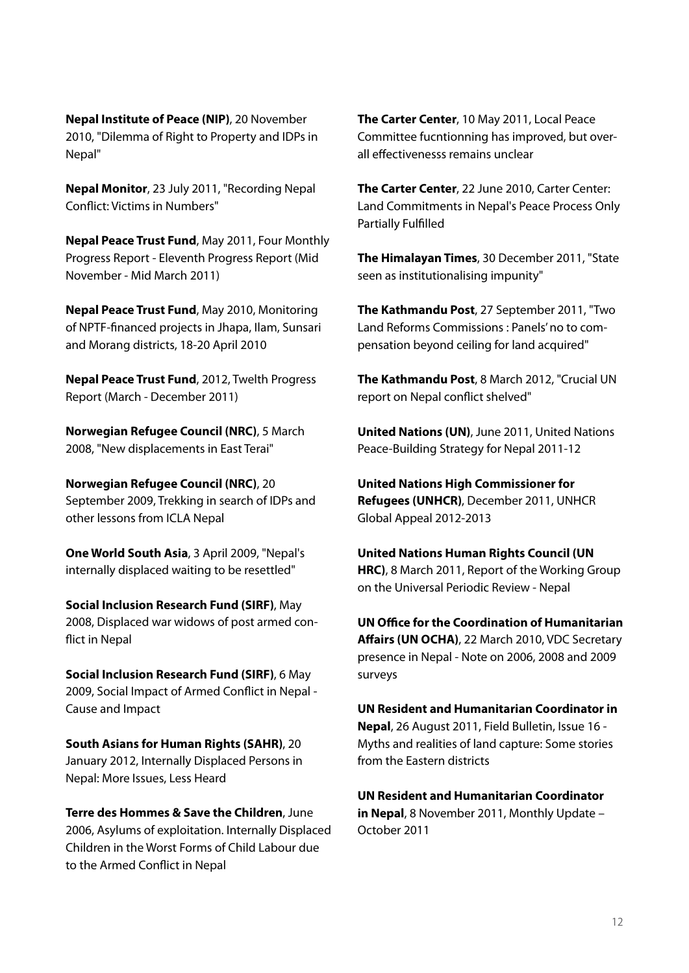**[Nepal Institute of Peace \(NIP\)](http://refugeewatchonline.blogspot.com/2010/11/dilemma-of-right-to-property-and-idps.html)**, 20 November [2010, "Dilemma of Right to Property and IDPs in](http://refugeewatchonline.blogspot.com/2010/11/dilemma-of-right-to-property-and-idps.html)  [Nepal"](http://refugeewatchonline.blogspot.com/2010/11/dilemma-of-right-to-property-and-idps.html)

**Nepal Monitor**[, 23 July 2011, "Recording Nepal](http://www.nepalmonitor.com/2011/07/recording_nepal_conf-print.html) [Conflict: Victims in Numbers"](http://www.nepalmonitor.com/2011/07/recording_nepal_conf-print.html)

**Nepal Peace Trust Fund**[, May 2011, Four Monthly](http://www.internal-displacement.org/8025708F004CE90B/%28httpDocuments%29/B9B1E054C5AE1562C1257933002B7C8A/$file/Eleventh+four+monthly+progress+report+NPTF.pdf)  [Progress Report - Eleventh Progress Report \(Mid](http://www.internal-displacement.org/8025708F004CE90B/%28httpDocuments%29/B9B1E054C5AE1562C1257933002B7C8A/$file/Eleventh+four+monthly+progress+report+NPTF.pdf)  [November - Mid March 2011\)](http://www.internal-displacement.org/8025708F004CE90B/%28httpDocuments%29/B9B1E054C5AE1562C1257933002B7C8A/$file/Eleventh+four+monthly+progress+report+NPTF.pdf)

**[Nepal Peace Trust Fund](http://www.internal-displacement.org/8025708F004CE90B/%28httpDocuments%29/EF1BEB206F2F8D59C12577FF003DB46C/$file/Field+monitoring+report_Eastern+Region_18_20+April+2010.pdf)**, May 2010, Monitoring [of NPTF-financed projects in Jhapa, Ilam, Sunsari](http://www.internal-displacement.org/8025708F004CE90B/%28httpDocuments%29/EF1BEB206F2F8D59C12577FF003DB46C/$file/Field+monitoring+report_Eastern+Region_18_20+April+2010.pdf)  [and Morang districts, 18-20 April 2010](http://www.internal-displacement.org/8025708F004CE90B/%28httpDocuments%29/EF1BEB206F2F8D59C12577FF003DB46C/$file/Field+monitoring+report_Eastern+Region_18_20+April+2010.pdf)

**[Nepal Peace Trust Fund](http://www.internal-displacement.org/8025708F004CE90B/%28httpDocuments%29/964E92F9B246245CC12579C9003867CE/$file/12th_Annual_ProgressReport-12.pdf)**, 2012, Twelth Progress [Report \(March - December 2011\)](http://www.internal-displacement.org/8025708F004CE90B/%28httpDocuments%29/964E92F9B246245CC12579C9003867CE/$file/12th_Annual_ProgressReport-12.pdf)

**[Norwegian Refugee Council \(NRC\)](http://www.nrc.no/?did=9249708)**, 5 March [2008, "New displacements in East Terai"](http://www.nrc.no/?did=9249708)

**[Norwegian Refugee Council \(NRC\)](http://www.internal-displacement.org/8025708F004CE90B/%28httpDocuments%29/9A3481C807A0862BC12579D100352E17/$file/trekking+in+search+of+IDPs+-NRC+-sep+2009.pdf)**, 20 [September 2009, Trekking in search of IDPs and](http://www.internal-displacement.org/8025708F004CE90B/%28httpDocuments%29/9A3481C807A0862BC12579D100352E17/$file/trekking+in+search+of+IDPs+-NRC+-sep+2009.pdf)  [other lessons from ICLA Nepal](http://www.internal-displacement.org/8025708F004CE90B/%28httpDocuments%29/9A3481C807A0862BC12579D100352E17/$file/trekking+in+search+of+IDPs+-NRC+-sep+2009.pdf)

**[One World South Asia](http://southasia.oneworld.net/todaysheadlines/nepals-internally-displaced-waiting-to-be-resettled)**, 3 April 2009, "Nepal's [internally displaced waiting to be resettled"](http://southasia.oneworld.net/todaysheadlines/nepals-internally-displaced-waiting-to-be-resettled)

**[Social Inclusion Research Fund \(SIRF\)](http://www.internal-displacement.org/8025708F004CE90B/%28httpDocuments%29/A0BB0EA238EEACBEC1257677004CDDED/$file/Displaced+war+widows+of+post+armed+conflict+in+Nepal+-+May+2008.pdf)**, May [2008, Displaced war widows of post armed con](http://www.internal-displacement.org/8025708F004CE90B/%28httpDocuments%29/A0BB0EA238EEACBEC1257677004CDDED/$file/Displaced+war+widows+of+post+armed+conflict+in+Nepal+-+May+2008.pdf)[flict in Nepal](http://www.internal-displacement.org/8025708F004CE90B/%28httpDocuments%29/A0BB0EA238EEACBEC1257677004CDDED/$file/Displaced+war+widows+of+post+armed+conflict+in+Nepal+-+May+2008.pdf)

**[Social Inclusion Research Fund \(SIRF\)](http://www.internal-displacement.org/8025708F004CE90B/%28httpDocuments%29/BA26441B80B500C5C1257677004DC85F/$file/Social+Impact+of+Armed++Conflict+in+Nepal+by+Anjana+Shakya.pdf)**, 6 May [2009, Social Impact of Armed Conflict in Nepal -](http://www.internal-displacement.org/8025708F004CE90B/%28httpDocuments%29/BA26441B80B500C5C1257677004DC85F/$file/Social+Impact+of+Armed++Conflict+in+Nepal+by+Anjana+Shakya.pdf)  [Cause and Impact](http://www.internal-displacement.org/8025708F004CE90B/%28httpDocuments%29/BA26441B80B500C5C1257677004DC85F/$file/Social+Impact+of+Armed++Conflict+in+Nepal+by+Anjana+Shakya.pdf)

**[South Asians for Human Rights \(SAHR\)](http://www.internal-displacement.org/8025708F004CE90B/%28httpDocuments%29/EA8AF57922A2623FC12579CD0047BC80/$file/IDP-Report-NEP.pdf)**, 20 [January 2012, Internally Displaced Persons in](http://www.internal-displacement.org/8025708F004CE90B/%28httpDocuments%29/EA8AF57922A2623FC12579CD0047BC80/$file/IDP-Report-NEP.pdf)  [Nepal: More Issues, Less Heard](http://www.internal-displacement.org/8025708F004CE90B/%28httpDocuments%29/EA8AF57922A2623FC12579CD0047BC80/$file/IDP-Report-NEP.pdf)

**[Terre des Hommes & Save the Children](http://www.internal-displacement.org/8025708F004CE90B/%28httpDocuments%29/47EDCB861E3C29B1C125719D0028C6B8/$file/tdh_f_sca06_asylums_of_exploitation%5b1%5d.pdf)**, June [2006, Asylums of exploitation. Internally Displaced](http://www.internal-displacement.org/8025708F004CE90B/%28httpDocuments%29/47EDCB861E3C29B1C125719D0028C6B8/$file/tdh_f_sca06_asylums_of_exploitation%5b1%5d.pdf) [Children in the Worst Forms of Child Labour due](http://www.internal-displacement.org/8025708F004CE90B/%28httpDocuments%29/47EDCB861E3C29B1C125719D0028C6B8/$file/tdh_f_sca06_asylums_of_exploitation%5b1%5d.pdf)  [to the Armed Conflict in Nepal](http://www.internal-displacement.org/8025708F004CE90B/%28httpDocuments%29/47EDCB861E3C29B1C125719D0028C6B8/$file/tdh_f_sca06_asylums_of_exploitation%5b1%5d.pdf)

**The Carter Center**[, 10 May 2011, Local Peace](http://www.internal-displacement.org/8025708F004CE90B/%28httpDocuments%29/097BDFF28A712BD3C125795200513673/$file/nepal-LocalPeaceCommittees-update-051011-ENG.pdf)  [Committee fucntionning has improved, but over](http://www.internal-displacement.org/8025708F004CE90B/%28httpDocuments%29/097BDFF28A712BD3C125795200513673/$file/nepal-LocalPeaceCommittees-update-051011-ENG.pdf)[all effectivenesss remains unclear](http://www.internal-displacement.org/8025708F004CE90B/%28httpDocuments%29/097BDFF28A712BD3C125795200513673/$file/nepal-LocalPeaceCommittees-update-051011-ENG.pdf)

**The Carter Center**[, 22 June 2010, Carter Center:](http://www.internal-displacement.org/8025708F004CE90B/%28httpDocuments%29/A514AF88BE8387B0C125774B002D97A9/$file/full_report.pdf)  [Land Commitments in Nepal's Peace Process Only](http://www.internal-displacement.org/8025708F004CE90B/%28httpDocuments%29/A514AF88BE8387B0C125774B002D97A9/$file/full_report.pdf)  [Partially Fulfilled](http://www.internal-displacement.org/8025708F004CE90B/%28httpDocuments%29/A514AF88BE8387B0C125774B002D97A9/$file/full_report.pdf)

**The Himalayan Times**[, 30 December 2011, "State](http://www.thehimalayantimes.com/fullNews.php?headline=State+seen+as+institutionalising+impunity+&NewsID=314567)  [seen as institutionalising impunity"](http://www.thehimalayantimes.com/fullNews.php?headline=State+seen+as+institutionalising+impunity+&NewsID=314567)

**The Kathmandu Post**[, 27 September 2011, "Two](http://www.ekantipur.com/the-kathmandu-post/2011/09/27/money/two-land-reforms-commissions--panels-no-to-compensation-beyond-ceiling-for-land-acquired/226769.html)  [Land Reforms Commissions : Panels' no to com](http://www.ekantipur.com/the-kathmandu-post/2011/09/27/money/two-land-reforms-commissions--panels-no-to-compensation-beyond-ceiling-for-land-acquired/226769.html)[pensation beyond ceiling for land acquired"](http://www.ekantipur.com/the-kathmandu-post/2011/09/27/money/two-land-reforms-commissions--panels-no-to-compensation-beyond-ceiling-for-land-acquired/226769.html)

**The Kathmandu Post**[, 8 March 2012, "Crucial UN](http://www.ekantipur.com/2012/03/08/top-story/crucial-un-report-on-nepal-conflict-shelved/350191.html)  [report on Nepal conflict shelved"](http://www.ekantipur.com/2012/03/08/top-story/crucial-un-report-on-nepal-conflict-shelved/350191.html)

**United Nations (UN)**[, June 2011, United Nations](http://www.internal-displacement.org/8025708F004CE90B/%28httpDocuments%29/44848D388786F82BC12578FD0055459D/$file/2011-08-29-UN-Peace-Building+Strategy-+Final.pdf)  [Peace-Building Strategy for Nepal 2011-12](http://www.internal-displacement.org/8025708F004CE90B/%28httpDocuments%29/44848D388786F82BC12578FD0055459D/$file/2011-08-29-UN-Peace-Building+Strategy-+Final.pdf)

**[United Nations High Commissioner for](http://www.un.org.np/sites/default/files/Global Appeal 2012-2013.pdf)  Refugees (UNHCR)**[, December 2011, UNHCR](http://www.un.org.np/sites/default/files/Global Appeal 2012-2013.pdf)  [Global Appeal 2012-2013](http://www.un.org.np/sites/default/files/Global Appeal 2012-2013.pdf)

**[United Nations Human Rights Council \(UN](http://www.internal-displacement.org/8025708F004CE90B/%28httpDocuments%29/BEB3711B9CDEA675C12579CD0054A65B/$file/Report+of+the+working+group+march+2011.pdf)  HRC)**[, 8 March 2011, Report of the Working Group](http://www.internal-displacement.org/8025708F004CE90B/%28httpDocuments%29/BEB3711B9CDEA675C12579CD0054A65B/$file/Report+of+the+working+group+march+2011.pdf)  [on the Universal Periodic Review - Nepal](http://www.internal-displacement.org/8025708F004CE90B/%28httpDocuments%29/BEB3711B9CDEA675C12579CD0054A65B/$file/Report+of+the+working+group+march+2011.pdf)

**[UN Office for the Coordination of Humanitarian](http://www.internal-displacement.org/8025708F004CE90B/%28httpDocuments%29/B8B7E489B28D274DC12576EE0031A2D3/$file/2010-03-22-VDC-Secretary-Notes.pdf)  Affairs (UN OCHA)**[, 22 March 2010, VDC Secretary](http://www.internal-displacement.org/8025708F004CE90B/%28httpDocuments%29/B8B7E489B28D274DC12576EE0031A2D3/$file/2010-03-22-VDC-Secretary-Notes.pdf)  [presence in Nepal - Note on 2006, 2008 and 2009](http://www.internal-displacement.org/8025708F004CE90B/%28httpDocuments%29/B8B7E489B28D274DC12576EE0031A2D3/$file/2010-03-22-VDC-Secretary-Notes.pdf)  [surveys](http://www.internal-displacement.org/8025708F004CE90B/%28httpDocuments%29/B8B7E489B28D274DC12576EE0031A2D3/$file/2010-03-22-VDC-Secretary-Notes.pdf)

**[UN Resident and Humanitarian Coordinator in](http://www.internal-displacement.org/8025708F004CE90B/%28httpDocuments%29/951613B5205354D5C1257933002E3D06/$file/Field-Bulletin-16.pdf)  Nepal**[, 26 August 2011, Field Bulletin, Issue 16 -](http://www.internal-displacement.org/8025708F004CE90B/%28httpDocuments%29/951613B5205354D5C1257933002E3D06/$file/Field-Bulletin-16.pdf)  [Myths and realities of land capture: Some stories](http://www.internal-displacement.org/8025708F004CE90B/%28httpDocuments%29/951613B5205354D5C1257933002E3D06/$file/Field-Bulletin-16.pdf)  [from the Eastern districts](http://www.internal-displacement.org/8025708F004CE90B/%28httpDocuments%29/951613B5205354D5C1257933002E3D06/$file/Field-Bulletin-16.pdf)

**[UN Resident and Humanitarian Coordinator](http://www.internal-displacement.org/8025708F004CE90B/%28httpDocuments%29/2BB793B9EA7B76A2C1257942002DC183/$file/Nepal_Monthly_Update_2011-10.pdf)  in Nepal**[, 8 November 2011, Monthly Update –](http://www.internal-displacement.org/8025708F004CE90B/%28httpDocuments%29/2BB793B9EA7B76A2C1257942002DC183/$file/Nepal_Monthly_Update_2011-10.pdf)  [October 2011](http://www.internal-displacement.org/8025708F004CE90B/%28httpDocuments%29/2BB793B9EA7B76A2C1257942002DC183/$file/Nepal_Monthly_Update_2011-10.pdf)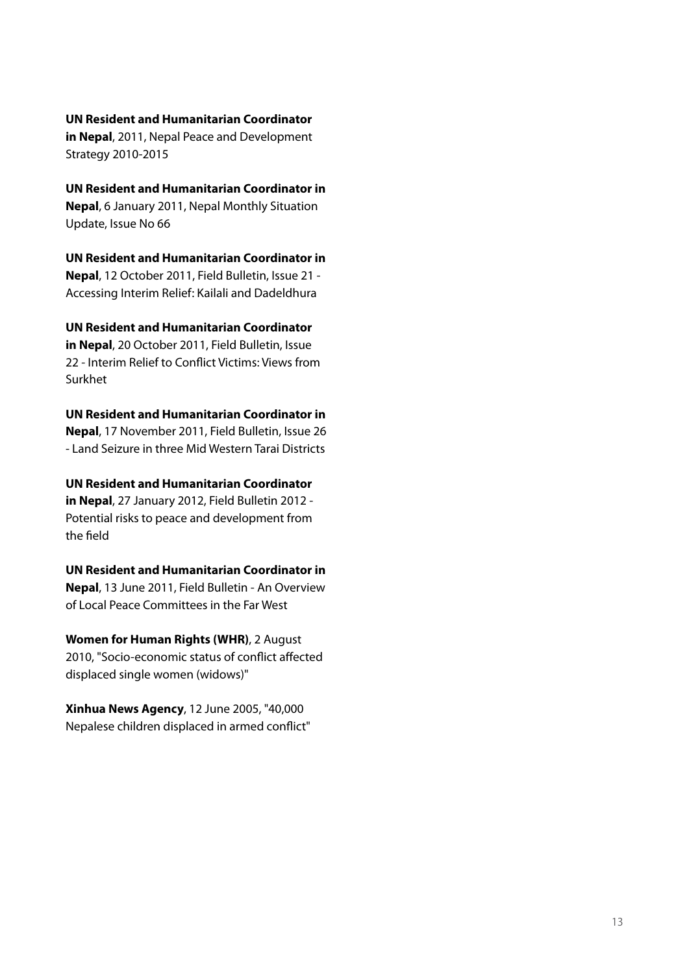#### **[UN Resident and Humanitarian Coordinator](http://www.internal-displacement.org/8025708F004CE90B/%28httpDocuments%29/0033C4BBE69BB45AC12578D80051FECE/$file/Nepal+Peace+and+Development+Strategy+jan2011.pdf)**

**in Nepal**[, 2011, Nepal Peace and Development](http://www.internal-displacement.org/8025708F004CE90B/%28httpDocuments%29/0033C4BBE69BB45AC12578D80051FECE/$file/Nepal+Peace+and+Development+Strategy+jan2011.pdf)  [Strategy 2010-2015](http://www.internal-displacement.org/8025708F004CE90B/%28httpDocuments%29/0033C4BBE69BB45AC12578D80051FECE/$file/Nepal+Peace+and+Development+Strategy+jan2011.pdf)

**[UN Resident and Humanitarian Coordinator in](http://www.internal-displacement.org/8025708F004CE90B/%28httpDocuments%29/818AA894BEA0A38BC125781000492D56/$file/Nepal+Monthly+Update+Nov-Dec_2010.pdf)  Nepal**[, 6 January 2011, Nepal Monthly Situation](http://www.internal-displacement.org/8025708F004CE90B/%28httpDocuments%29/818AA894BEA0A38BC125781000492D56/$file/Nepal+Monthly+Update+Nov-Dec_2010.pdf)  [Update, Issue No 66](http://www.internal-displacement.org/8025708F004CE90B/%28httpDocuments%29/818AA894BEA0A38BC125781000492D56/$file/Nepal+Monthly+Update+Nov-Dec_2010.pdf)

**[UN Resident and Humanitarian Coordinator in](http://www.internal-displacement.org/8025708F004CE90B/%28httpDocuments%29/852B18B8C7DB7D1FC1257933002CEDF1/$file/Field+Bulletin+-++Accessing+Interim+Relief+-+Kailali+and+Dadeldhura+-+October+2011.pdf)  Nepal**[, 12 October 2011, Field Bulletin, Issue 21 -](http://www.internal-displacement.org/8025708F004CE90B/%28httpDocuments%29/852B18B8C7DB7D1FC1257933002CEDF1/$file/Field+Bulletin+-++Accessing+Interim+Relief+-+Kailali+and+Dadeldhura+-+October+2011.pdf)  [Accessing Interim Relief: Kailali and Dadeldhura](http://www.internal-displacement.org/8025708F004CE90B/%28httpDocuments%29/852B18B8C7DB7D1FC1257933002CEDF1/$file/Field+Bulletin+-++Accessing+Interim+Relief+-+Kailali+and+Dadeldhura+-+October+2011.pdf)

**[UN Resident and Humanitarian Coordinator](http://www.internal-displacement.org/8025708F004CE90B/%28httpDocuments%29/223E07998142C14BC1257933002D6A52/$file/Field+Bulletin-Issue-22.pdf)** 

**in Nepal**[, 20 October 2011, Field Bulletin, Issue](http://www.internal-displacement.org/8025708F004CE90B/%28httpDocuments%29/223E07998142C14BC1257933002D6A52/$file/Field+Bulletin-Issue-22.pdf)  [22 - Interim Relief to Conflict Victims: Views from](http://www.internal-displacement.org/8025708F004CE90B/%28httpDocuments%29/223E07998142C14BC1257933002D6A52/$file/Field+Bulletin-Issue-22.pdf)  [Surkhet](http://www.internal-displacement.org/8025708F004CE90B/%28httpDocuments%29/223E07998142C14BC1257933002D6A52/$file/Field+Bulletin-Issue-22.pdf)

**[UN Resident and Humanitarian Coordinator in](http://www.internal-displacement.org/8025708F004CE90B/%28httpDocuments%29/2DF16BC320C22C04C125794C002C2490/$file/Field+Bulletin+-+Issue+-+26_Land_Seizure_in_three_Mid_Western_Tarai_Districts_Nov-2011.pdf)  Nepal**[, 17 November 2011, Field Bulletin, Issue 26](http://www.internal-displacement.org/8025708F004CE90B/%28httpDocuments%29/2DF16BC320C22C04C125794C002C2490/$file/Field+Bulletin+-+Issue+-+26_Land_Seizure_in_three_Mid_Western_Tarai_Districts_Nov-2011.pdf)  [- Land Seizure in three Mid Western Tarai Districts](http://www.internal-displacement.org/8025708F004CE90B/%28httpDocuments%29/2DF16BC320C22C04C125794C002C2490/$file/Field+Bulletin+-+Issue+-+26_Land_Seizure_in_three_Mid_Western_Tarai_Districts_Nov-2011.pdf)

**[UN Resident and Humanitarian Coordinator](http://www.internal-displacement.org/8025708F004CE90B/%28httpDocuments%29/A6DAD62BF14FFD33C125799F0049D565/$file/Field+Bulletin-Issue-33+-+Potential+risks+to+peace+and+development+from+the+field.pdf)  in Nepal**[, 27 January 2012, Field Bulletin 2012 -](http://www.internal-displacement.org/8025708F004CE90B/%28httpDocuments%29/A6DAD62BF14FFD33C125799F0049D565/$file/Field+Bulletin-Issue-33+-+Potential+risks+to+peace+and+development+from+the+field.pdf)  [Potential risks to peace and development from](http://www.internal-displacement.org/8025708F004CE90B/%28httpDocuments%29/A6DAD62BF14FFD33C125799F0049D565/$file/Field+Bulletin-Issue-33+-+Potential+risks+to+peace+and+development+from+the+field.pdf)  [the field](http://www.internal-displacement.org/8025708F004CE90B/%28httpDocuments%29/A6DAD62BF14FFD33C125799F0049D565/$file/Field+Bulletin-Issue-33+-+Potential+risks+to+peace+and+development+from+the+field.pdf)

**[UN Resident and Humanitarian Coordinator in](http://www.internal-displacement.org/8025708F004CE90B/%28httpDocuments%29/1662B449E4512906C12578D8004F8200/$file/overview+of+LPC+in+the+west+June+2011.pdf)  Nepal**[, 13 June 2011, Field Bulletin - An Overview](http://www.internal-displacement.org/8025708F004CE90B/%28httpDocuments%29/1662B449E4512906C12578D8004F8200/$file/overview+of+LPC+in+the+west+June+2011.pdf)  [of Local Peace Committees in the Far West](http://www.internal-displacement.org/8025708F004CE90B/%28httpDocuments%29/1662B449E4512906C12578D8004F8200/$file/overview+of+LPC+in+the+west+June+2011.pdf)

**[Women for Human Rights \(WHR\)](http://sumeruh.wordpress.com/2010/08/02/socio-economic-status-of-conflict-affected-displaced-single-women-widows/)**, 2 August [2010, "Socio-economic status of conflict affected](http://sumeruh.wordpress.com/2010/08/02/socio-economic-status-of-conflict-affected-displaced-single-women-widows/)  [displaced single women](http://sumeruh.wordpress.com/2010/08/02/socio-economic-status-of-conflict-affected-displaced-single-women-widows/) (widows)"

**Xinhua News Agency**[, 12 June 2005, "40,000](http://www.reliefweb.int/rw/RWB.NSF/db900SID/SODA-6DB9XX?OpenDocument&rc=3&cc=npl)  [Nepalese children displaced in armed conflict"](http://www.reliefweb.int/rw/RWB.NSF/db900SID/SODA-6DB9XX?OpenDocument&rc=3&cc=npl)